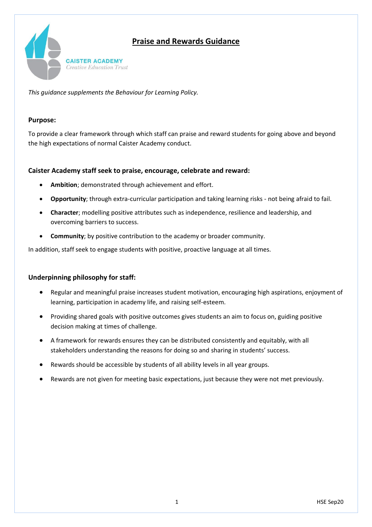# **Praise and Rewards Guidance**



*This guidance supplements the Behaviour for Learning Policy.*

#### **Purpose:**

To provide a clear framework through which staff can praise and reward students for going above and beyond the high expectations of normal Caister Academy conduct.

#### **Caister Academy staff seek to praise, encourage, celebrate and reward:**

- **Ambition**; demonstrated through achievement and effort.
- **Opportunity**; through extra-curricular participation and taking learning risks not being afraid to fail.
- **Character**; modelling positive attributes such as independence, resilience and leadership, and overcoming barriers to success.
- **Community**; by positive contribution to the academy or broader community.

In addition, staff seek to engage students with positive, proactive language at all times.

#### **Underpinning philosophy for staff:**

- Regular and meaningful praise increases student motivation, encouraging high aspirations, enjoyment of learning, participation in academy life, and raising self-esteem.
- Providing shared goals with positive outcomes gives students an aim to focus on, guiding positive decision making at times of challenge.
- A framework for rewards ensures they can be distributed consistently and equitably, with all stakeholders understanding the reasons for doing so and sharing in students' success.
- Rewards should be accessible by students of all ability levels in all year groups.
- Rewards are not given for meeting basic expectations, just because they were not met previously.